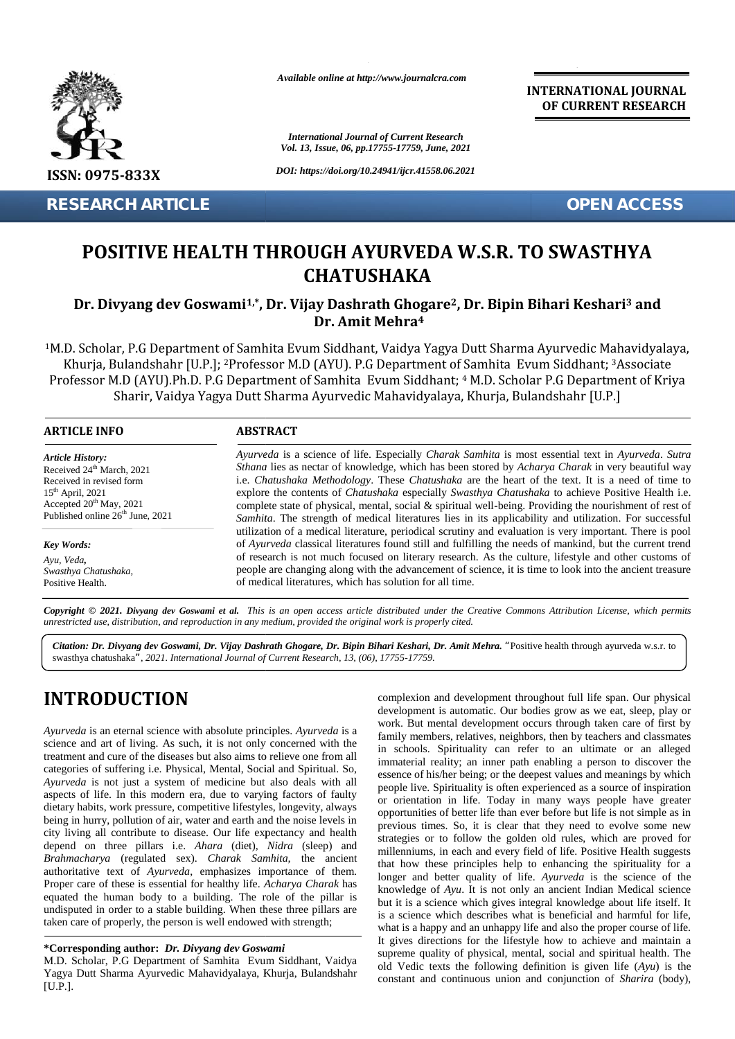

*Available online at http://www.journalcra.com*

**INTERNATIONAL JOURNAL OF CURRENT RESEARCH**

## **POSITIVE HEALTH THROUGH AYURVEDA W.S.R. TO SWASTHYA CHATUSHAKA**

### Dr. Divyang dev Goswami<sup>1,\*</sup>, Dr. Vijay Dashrath Ghogare<sup>2</sup>, Dr. Bipin Bihari Keshari<sup>3</sup> and **Dr. Amit Mehra<sup>4</sup>**

|                                                                                                                                                                                                                     |                                                                                                                                                                                                                                                                                                                                                                                                                                                                                                                                                                                                                                                                                                                                                                                                                                                                                                                                                                                                                                                                                                                                              | <b>International Journal of Current Research</b><br>Vol. 13, Issue, 06, pp.17755-17759, June, 2021                                                                                                                                                                                                                                                                                                                                                                                                                                                                                                                                                                                                                                                                                                                                                                                                                                                                                                                                                                                                                                                                                                                                                                                                                                                                                                             |
|---------------------------------------------------------------------------------------------------------------------------------------------------------------------------------------------------------------------|----------------------------------------------------------------------------------------------------------------------------------------------------------------------------------------------------------------------------------------------------------------------------------------------------------------------------------------------------------------------------------------------------------------------------------------------------------------------------------------------------------------------------------------------------------------------------------------------------------------------------------------------------------------------------------------------------------------------------------------------------------------------------------------------------------------------------------------------------------------------------------------------------------------------------------------------------------------------------------------------------------------------------------------------------------------------------------------------------------------------------------------------|----------------------------------------------------------------------------------------------------------------------------------------------------------------------------------------------------------------------------------------------------------------------------------------------------------------------------------------------------------------------------------------------------------------------------------------------------------------------------------------------------------------------------------------------------------------------------------------------------------------------------------------------------------------------------------------------------------------------------------------------------------------------------------------------------------------------------------------------------------------------------------------------------------------------------------------------------------------------------------------------------------------------------------------------------------------------------------------------------------------------------------------------------------------------------------------------------------------------------------------------------------------------------------------------------------------------------------------------------------------------------------------------------------------|
| ISSN: 0975-833X                                                                                                                                                                                                     |                                                                                                                                                                                                                                                                                                                                                                                                                                                                                                                                                                                                                                                                                                                                                                                                                                                                                                                                                                                                                                                                                                                                              | DOI: https://doi.org/10.24941/ijcr.41558.06.2021                                                                                                                                                                                                                                                                                                                                                                                                                                                                                                                                                                                                                                                                                                                                                                                                                                                                                                                                                                                                                                                                                                                                                                                                                                                                                                                                                               |
| <b>RESEARCH ARTICLE</b>                                                                                                                                                                                             |                                                                                                                                                                                                                                                                                                                                                                                                                                                                                                                                                                                                                                                                                                                                                                                                                                                                                                                                                                                                                                                                                                                                              | <b>OPEN ACCESS</b>                                                                                                                                                                                                                                                                                                                                                                                                                                                                                                                                                                                                                                                                                                                                                                                                                                                                                                                                                                                                                                                                                                                                                                                                                                                                                                                                                                                             |
|                                                                                                                                                                                                                     |                                                                                                                                                                                                                                                                                                                                                                                                                                                                                                                                                                                                                                                                                                                                                                                                                                                                                                                                                                                                                                                                                                                                              | <b>POSITIVE HEALTH THROUGH AYURVEDA W.S.R. TO SWASTHYA</b><br><b>CHATUSHAKA</b>                                                                                                                                                                                                                                                                                                                                                                                                                                                                                                                                                                                                                                                                                                                                                                                                                                                                                                                                                                                                                                                                                                                                                                                                                                                                                                                                |
|                                                                                                                                                                                                                     |                                                                                                                                                                                                                                                                                                                                                                                                                                                                                                                                                                                                                                                                                                                                                                                                                                                                                                                                                                                                                                                                                                                                              | Dr. Divyang dev Goswami <sup>1,*</sup> , Dr. Vijay Dashrath Ghogare <sup>2</sup> , Dr. Bipin Bihari Keshari <sup>3</sup> and<br>Dr. Amit Mehra <sup>4</sup>                                                                                                                                                                                                                                                                                                                                                                                                                                                                                                                                                                                                                                                                                                                                                                                                                                                                                                                                                                                                                                                                                                                                                                                                                                                    |
|                                                                                                                                                                                                                     |                                                                                                                                                                                                                                                                                                                                                                                                                                                                                                                                                                                                                                                                                                                                                                                                                                                                                                                                                                                                                                                                                                                                              | <sup>1</sup> M.D. Scholar, P.G Department of Samhita Evum Siddhant, Vaidya Yagya Dutt Sharma Ayurvedic Mahavidyalaya,<br>Khurja, Bulandshahr [U.P.]; <sup>2</sup> Professor M.D (AYU). P.G Department of Samhita Evum Siddhant; <sup>3</sup> Associate<br>Professor M.D (AYU).Ph.D. P.G Department of Samhita Evum Siddhant; 4 M.D. Scholar P.G Department of Kriya<br>Sharir, Vaidya Yagya Dutt Sharma Ayurvedic Mahavidyalaya, Khurja, Bulandshahr [U.P.]                                                                                                                                                                                                                                                                                                                                                                                                                                                                                                                                                                                                                                                                                                                                                                                                                                                                                                                                                    |
| <b>ARTICLE INFO</b>                                                                                                                                                                                                 | <b>ABSTRACT</b>                                                                                                                                                                                                                                                                                                                                                                                                                                                                                                                                                                                                                                                                                                                                                                                                                                                                                                                                                                                                                                                                                                                              |                                                                                                                                                                                                                                                                                                                                                                                                                                                                                                                                                                                                                                                                                                                                                                                                                                                                                                                                                                                                                                                                                                                                                                                                                                                                                                                                                                                                                |
| <b>Article History:</b><br>Received 24 <sup>th</sup> March, 2021<br>Received in revised form<br>15 <sup>th</sup> April, 2021<br>Accepted 20 <sup>th</sup> May, 2021<br>Published online 26 <sup>th</sup> June, 2021 | Ayurveda is a science of life. Especially Charak Samhita is most essential text in Ayurveda. Sutra<br>Sthana lies as nectar of knowledge, which has been stored by Acharya Charak in very beautiful way<br>i.e. Chatushaka Methodology. These Chatushaka are the heart of the text. It is a need of time to<br>explore the contents of Chatushaka especially Swasthya Chatushaka to achieve Positive Health i.e.<br>complete state of physical, mental, social & spiritual well-being. Providing the nourishment of rest of<br>Samhita. The strength of medical literatures lies in its applicability and utilization. For successful<br>utilization of a medical literature, periodical scrutiny and evaluation is very important. There is pool<br>of Ayurveda classical literatures found still and fulfilling the needs of mankind, but the current trend<br>of research is not much focused on literary research. As the culture, lifestyle and other customs of<br>people are changing along with the advancement of science, it is time to look into the ancient treasure<br>of medical literatures, which has solution for all time. |                                                                                                                                                                                                                                                                                                                                                                                                                                                                                                                                                                                                                                                                                                                                                                                                                                                                                                                                                                                                                                                                                                                                                                                                                                                                                                                                                                                                                |
| Key Words:<br>Ayu, Veda,<br>Swasthya Chatushaka,<br>Positive Health.                                                                                                                                                |                                                                                                                                                                                                                                                                                                                                                                                                                                                                                                                                                                                                                                                                                                                                                                                                                                                                                                                                                                                                                                                                                                                                              |                                                                                                                                                                                                                                                                                                                                                                                                                                                                                                                                                                                                                                                                                                                                                                                                                                                                                                                                                                                                                                                                                                                                                                                                                                                                                                                                                                                                                |
|                                                                                                                                                                                                                     | unrestricted use, distribution, and reproduction in any medium, provided the original work is properly cited.                                                                                                                                                                                                                                                                                                                                                                                                                                                                                                                                                                                                                                                                                                                                                                                                                                                                                                                                                                                                                                | Copyright © 2021. Divyang dev Goswami et al. This is an open access article distributed under the Creative Commons Attribution License, which permits                                                                                                                                                                                                                                                                                                                                                                                                                                                                                                                                                                                                                                                                                                                                                                                                                                                                                                                                                                                                                                                                                                                                                                                                                                                          |
|                                                                                                                                                                                                                     | swasthya chatushaka", 2021. International Journal of Current Research, 13, (06), 17755-17759.                                                                                                                                                                                                                                                                                                                                                                                                                                                                                                                                                                                                                                                                                                                                                                                                                                                                                                                                                                                                                                                | Citation: Dr. Divyang dev Goswami, Dr. Vijay Dashrath Ghogare, Dr. Bipin Bihari Keshari, Dr. Amit Mehra. "Positive health through ayurveda w.s.r. to                                                                                                                                                                                                                                                                                                                                                                                                                                                                                                                                                                                                                                                                                                                                                                                                                                                                                                                                                                                                                                                                                                                                                                                                                                                           |
| <b>INTRODUCTION</b><br>taken care of properly, the person is well endowed with strength;                                                                                                                            | Ayurveda is an eternal science with absolute principles. Ayurveda is a<br>science and art of living. As such, it is not only concerned with the<br>treatment and cure of the diseases but also aims to relieve one from all<br>categories of suffering i.e. Physical, Mental, Social and Spiritual. So,<br>Ayurveda is not just a system of medicine but also deals with all<br>aspects of life. In this modern era, due to varying factors of faulty<br>dietary habits, work pressure, competitive lifestyles, longevity, always<br>being in hurry, pollution of air, water and earth and the noise levels in<br>city living all contribute to disease. Our life expectancy and health<br>depend on three pillars i.e. Ahara (diet), Nidra (sleep) and<br>Brahmacharya (regulated sex). Charak Samhita, the ancient<br>authoritative text of Ayurveda, emphasizes importance of them.<br>Proper care of these is essential for healthy life. Acharya Charak has<br>equated the human body to a building. The role of the pillar is<br>undisputed in order to a stable building. When these three pillars are                                | complexion and development throughout full life span. Our physical<br>development is automatic. Our bodies grow as we eat, sleep, play or<br>work. But mental development occurs through taken care of first by<br>family members, relatives, neighbors, then by teachers and classmates<br>in schools. Spirituality can refer to an ultimate or an alleged<br>immaterial reality; an inner path enabling a person to discover the<br>essence of his/her being; or the deepest values and meanings by which<br>people live. Spirituality is often experienced as a source of inspiration<br>or orientation in life. Today in many ways people have greater<br>opportunities of better life than ever before but life is not simple as in<br>previous times. So, it is clear that they need to evolve some new<br>strategies or to follow the golden old rules, which are proved for<br>millenniums, in each and every field of life. Positive Health suggests<br>that how these principles help to enhancing the spirituality for a<br>longer and better quality of life. Ayurveda is the science of the<br>knowledge of Ayu. It is not only an ancient Indian Medical science<br>but it is a science which gives integral knowledge about life itself. It<br>is a science which describes what is beneficial and harmful for life,<br>what is a happy and an unhappy life and also the proper course of life. |
| *Corresponding author: Dr. Divyang dev Goswami<br>M.D. Scholar, P.G Department of Samhita Evum Siddhant, Vaidya<br>Yagya Dutt Sharma Ayurvedic Mahavidyalaya, Khurja, Bulandshahr                                   |                                                                                                                                                                                                                                                                                                                                                                                                                                                                                                                                                                                                                                                                                                                                                                                                                                                                                                                                                                                                                                                                                                                                              | It gives directions for the lifestyle how to achieve and maintain a<br>supreme quality of physical, mental, social and spiritual health. The<br>old Vedic texts the following definition is given life $(Ayu)$ is the<br>constant and continuous union and conjunction of Sharira (body),                                                                                                                                                                                                                                                                                                                                                                                                                                                                                                                                                                                                                                                                                                                                                                                                                                                                                                                                                                                                                                                                                                                      |

# **INTRODUCTION INTRODUCTION**

#### **\*Corresponding author:** *Dr. Divyang dev Goswami* **\*Corresponding**

M.D. Scholar, P.G Department of Samhita Evum Siddhant, Vaidya Yagya Dutt Sharma Ayurvedic Mahavidyalaya, Khurja, Bulandshahr [U.P.].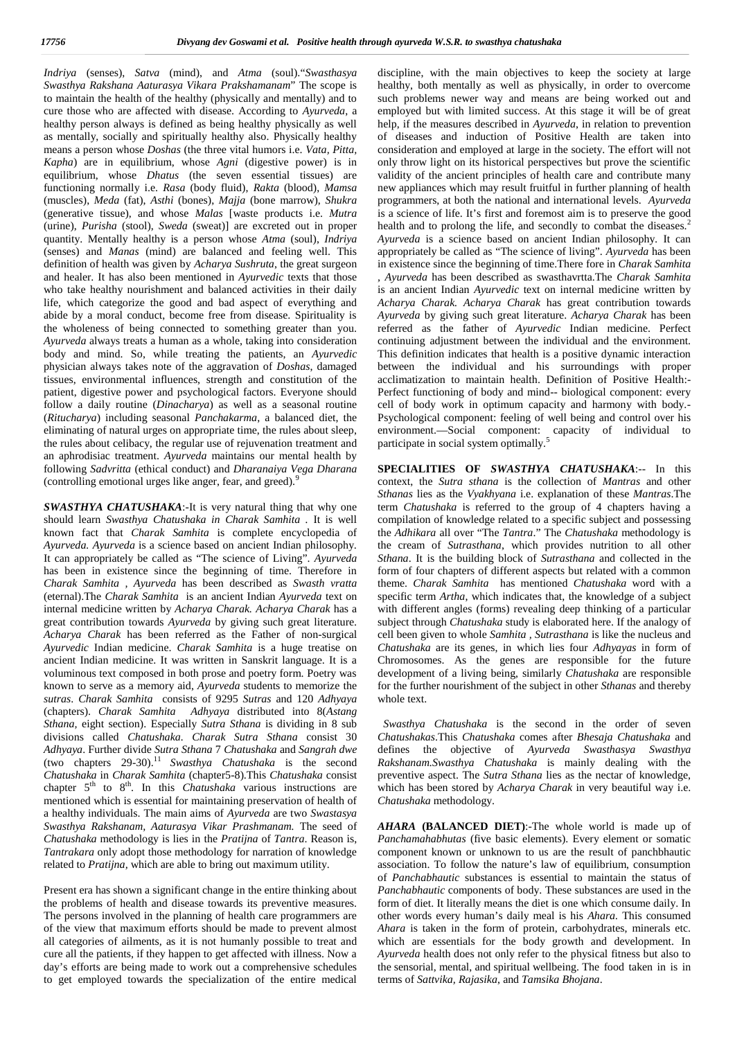*Indriya* (senses), *Satva* (mind), and *Atma* (soul)."*Swasthasya Swasthya Rakshana Aaturasya Vikara Prakshamanam*" The scope is to maintain the health of the healthy (physically and mentally) and to cure those who are affected with disease. According to *Ayurveda*, a healthy person always is defined as being healthy physically as well as mentally, socially and spiritually healthy also. Physically healthy means a person whose *Doshas* (the three vital humors i.e. *Vata, Pitta, Kapha*) are in equilibrium, whose *Agni* (digestive power) is in equilibrium, whose *Dhatus* (the seven essential tissues) are functioning normally i.e. *Rasa* (body fluid), *Rakta* (blood), *Mamsa* (muscles), *Meda* (fat), *Asthi* (bones), *Majja* (bone marrow), *Shukra* (generative tissue), and whose *Malas* [waste products i.e. *Mutra* (urine), *Purisha* (stool), *Sweda* (sweat)] are excreted out in proper quantity. Mentally healthy is a person whose *Atma* (soul), *Indriya* (senses) and *Manas* (mind) are balanced and feeling well. This definition of health was given by *Acharya Sushruta*, the great surgeon and healer. It has also been mentioned in *Ayurvedic* texts that those who take healthy nourishment and balanced activities in their daily life, which categorize the good and bad aspect of everything and abide by a moral conduct, become free from disease. Spirituality is the wholeness of being connected to something greater than you. *Ayurveda* always treats a human as a whole, taking into consideration body and mind. So, while treating the patients, an *Ayurvedic* physician always takes note of the aggravation of *Doshas*, damaged tissues, environmental influences, strength and constitution of the patient, digestive power and psychological factors. Everyone should follow a daily routine (*Dinacharya*) as well as a seasonal routine (*Ritucharya*) including seasonal *Panchakarma*, a balanced diet, the eliminating of natural urges on appropriate time, the rules about sleep, the rules about celibacy, the regular use of rejuvenation treatment and an aphrodisiac treatment. *Ayurveda* maintains our mental health by following *Sadvritta* (ethical conduct) and *Dharanaiya Vega Dharana* (controlling emotional urges like anger, fear, and greed).<sup>9</sup>

*SWASTHYA CHATUSHAKA*:-It is very natural thing that why one should learn *Swasthya Chatushaka in Charak Samhita .* It is well known fact that *Charak Samhita* is complete encyclopedia of *Ayurveda. Ayurveda* is a science based on ancient Indian philosophy. It can appropriately be called as "The science of Living". *Ayurveda* has been in existence since the beginning of time. Therefore in *Charak Samhita , Ayurveda* has been described as *Swasth vratta* (eternal).The *Charak Samhita* is an ancient Indian *Ayurveda* text on internal medicine written by *Acharya Charak. Acharya Charak* has a great contribution towards *Ayurveda* by giving such great literature. *Acharya Charak* has been referred as the Father of non-surgical *Ayurvedic* Indian medicine. *Charak Samhita* is a huge treatise on ancient Indian medicine. It was written in Sanskrit language. It is a voluminous text composed in both prose and poetry form. Poetry was known to serve as a memory aid, *Ayurveda* students to memorize the *sutras*. *Charak Samhita* consists of 9295 *Sutras* and 120 *Adhyaya* (chapters). *Charak Samhita Adhyaya* distributed into 8(*Astang Sthana,* eight section). Especially *Sutra Sthana* is dividing in 8 sub divisions called *Chatushaka. Charak Sutra Sthana* consist 30 *Adhyaya*. Further divide *Sutra Sthana* 7 *Chatushaka* and *Sangrah dwe* (two chapters 29-30).<sup>11</sup> *Swasthya Chatushaka* is the second *Chatushaka* in *Charak Samhita* (chapter5-8).This *Chatushaka* consist chapter 5<sup>th</sup> to 8<sup>th</sup>. In this *Chatushaka* various instructions are mentioned which is essential for maintaining preservation of health of a healthy individuals. The main aims of *Ayurveda* are two *Swastasya Swasthya Rakshanam, Aaturasya Vikar Prashmanam.* The seed of *Chatushaka* methodology is lies in the *Pratijna* of *Tantra*. Reason is, *Tantrakara* only adopt those methodology for narration of knowledge related to *Pratijna,* which are able to bring out maximum utility.

Present era has shown a significant change in the entire thinking about the problems of health and disease towards its preventive measures. The persons involved in the planning of health care programmers are of the view that maximum efforts should be made to prevent almost all categories of ailments, as it is not humanly possible to treat and cure all the patients, if they happen to get affected with illness. Now a day's efforts are being made to work out a comprehensive schedules to get employed towards the specialization of the entire medical

discipline, with the main objectives to keep the society at large healthy, both mentally as well as physically, in order to overcome such problems newer way and means are being worked out and employed but with limited success. At this stage it will be of great help, if the measures described in *Ayurveda*, in relation to prevention of diseases and induction of Positive Health are taken into consideration and employed at large in the society. The effort will not only throw light on its historical perspectives but prove the scientific validity of the ancient principles of health care and contribute many new appliances which may result fruitful in further planning of health programmers, at both the national and international levels. *Ayurveda* is a science of life. It's first and foremost aim is to preserve the good health and to prolong the life, and secondly to combat the diseases.<sup>2</sup> *Ayurveda* is a science based on ancient Indian philosophy*.* It can appropriately be called as "The science of living". *Ayurveda* has been in existence since the beginning of time.There fore in *Charak Samhita , Ayurveda* has been described as swasthavrtta.The *Charak Samhita* is an ancient Indian *Ayurvedic* text on internal medicine written by *Acharya Charak. Acharya Charak* has great contribution towards *Ayurveda* by giving such great literature. *Acharya Charak* has been referred as the father of *Ayurvedic* Indian medicine. Perfect continuing adjustment between the individual and the environment. This definition indicates that health is a positive dynamic interaction between the individual and his surroundings with proper acclimatization to maintain health. Definition of Positive Health:- Perfect functioning of body and mind-- biological component: every cell of body work in optimum capacity and harmony with body.- Psychological component: feeling of well being and control over his environment.—Social component: capacity of individual to participate in social system optimally.<sup>5</sup>

**SPECIALITIES OF** *SWASTHYA CHATUSHAKA*:-- In this context, the *Sutra sthana* is the collection of *Mantras* and other *Sthanas* lies as the *Vyakhyana* i.e. explanation of these *Mantras*.The term *Chatushaka* is referred to the group of 4 chapters having a compilation of knowledge related to a specific subject and possessing the *Adhikara* all over "The *Tantra*." The *Chatushaka* methodology is the cream of *Sutrasthana*, which provides nutrition to all other *Sthana*. It is the building block of *Sutrasthana* and collected in the form of four chapters of different aspects but related with a common theme. *Charak Samhita* has mentioned *Chatushaka* word with a specific term *Artha*, which indicates that, the knowledge of a subject with different angles (forms) revealing deep thinking of a particular subject through *Chatushaka* study is elaborated here. If the analogy of cell been given to whole *Samhita , Sutrasthana* is like the nucleus and *Chatushaka* are its genes, in which lies four *Adhyayas* in form of Chromosomes. As the genes are responsible for the future development of a living being, similarly *Chatushaka* are responsible for the further nourishment of the subject in other *Sthanas* and thereby whole text.

*Swasthya Chatushaka* is the second in the order of seven *Chatushakas*.This *Chatushaka* comes after *Bhesaja Chatushaka* and defines the objective of *Ayurveda Swasthasya Swasthya Rakshanam.Swasthya Chatushaka* is mainly dealing with the preventive aspect. The *Sutra Sthana* lies as the nectar of knowledge, which has been stored by *Acharya Charak* in very beautiful way i.e. *Chatushaka* methodology.

*AHARA* **(BALANCED DIET)**:-The whole world is made up of *Panchamahabhutas* (five basic elements). Every element or somatic component known or unknown to us are the result of panchbhautic association. To follow the nature's law of equilibrium, consumption of *Panchabhautic* substances is essential to maintain the status of *Panchabhautic* components of body. These substances are used in the form of diet. It literally means the diet is one which consume daily. In other words every human's daily meal is his *Ahara.* This consumed *Ahara* is taken in the form of protein, carbohydrates, minerals etc. which are essentials for the body growth and development. In *Ayurveda* health does not only refer to the physical fitness but also to the sensorial, mental, and spiritual wellbeing. The food taken in is in terms of *Sattvika, Rajasika*, and *Tamsika Bhojana*.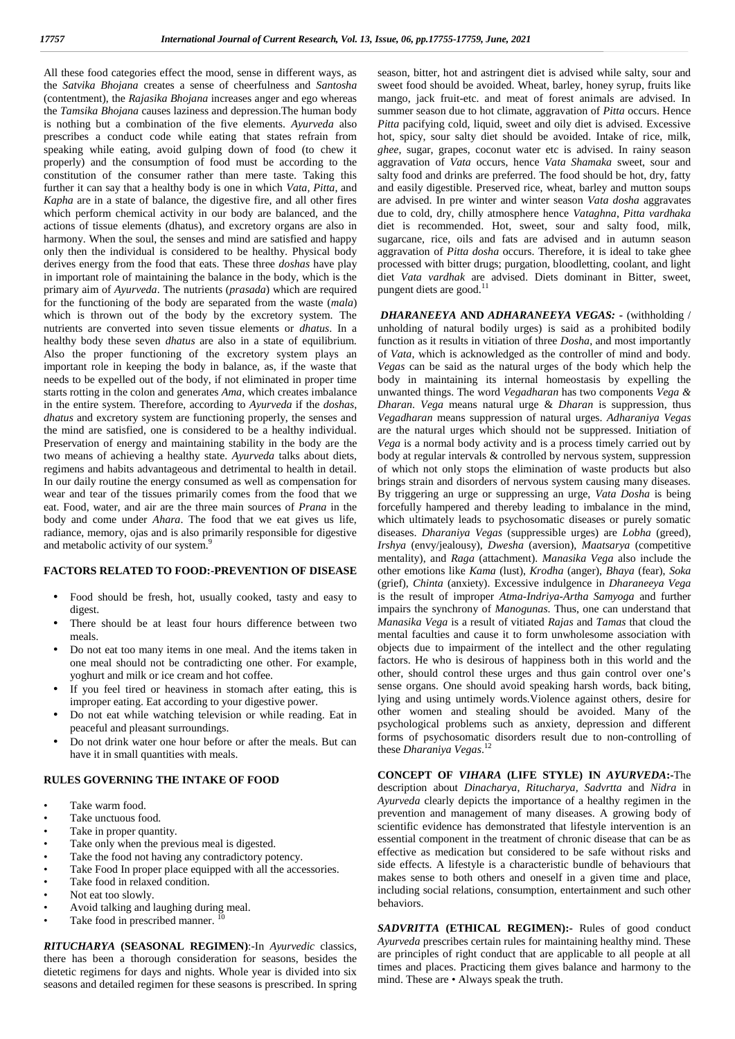All these food categories effect the mood, sense in different ways, as the *Satvika Bhojana* creates a sense of cheerfulness and *Santosha* (contentment), the *Rajasika Bhojana* increases anger and ego whereas the *Tamsika Bhojana* causes laziness and depression.The human body is nothing but a combination of the five elements. *Ayurveda* also prescribes a conduct code while eating that states refrain from speaking while eating, avoid gulping down of food (to chew it properly) and the consumption of food must be according to the constitution of the consumer rather than mere taste. Taking this further it can say that a healthy body is one in which *Vata, Pitta*, and *Kapha* are in a state of balance, the digestive fire, and all other fires which perform chemical activity in our body are balanced, and the actions of tissue elements (dhatus), and excretory organs are also in harmony. When the soul, the senses and mind are satisfied and happy only then the individual is considered to be healthy. Physical body derives energy from the food that eats. These three *doshas* have play in important role of maintaining the balance in the body, which is the primary aim of *Ayurveda*. The nutrients (*prasada*) which are required for the functioning of the body are separated from the waste (*mala*) which is thrown out of the body by the excretory system. The nutrients are converted into seven tissue elements or *dhatus*. In a healthy body these seven *dhatus* are also in a state of equilibrium. Also the proper functioning of the excretory system plays an important role in keeping the body in balance, as, if the waste that needs to be expelled out of the body, if not eliminated in proper time starts rotting in the colon and generates *Ama*, which creates imbalance in the entire system. Therefore, according to *Ayurveda* if the *doshas*, *dhatus* and excretory system are functioning properly, the senses and the mind are satisfied, one is considered to be a healthy individual. Preservation of energy and maintaining stability in the body are the two means of achieving a healthy state. *Ayurveda* talks about diets, regimens and habits advantageous and detrimental to health in detail. In our daily routine the energy consumed as well as compensation for wear and tear of the tissues primarily comes from the food that we eat. Food, water, and air are the three main sources of *Prana* in the body and come under *Ahara*. The food that we eat gives us life, radiance, memory, ojas and is also primarily responsible for digestive and metabolic activity of our system.<sup>9</sup>

#### **FACTORS RELATED TO FOOD:-PREVENTION OF DISEASE**

- Food should be fresh, hot, usually cooked, tasty and easy to digest.
- There should be at least four hours difference between two meals.
- Do not eat too many items in one meal. And the items taken in one meal should not be contradicting one other. For example, yoghurt and milk or ice cream and hot coffee.
- If you feel tired or heaviness in stomach after eating, this is improper eating. Eat according to your digestive power.
- Do not eat while watching television or while reading. Eat in peaceful and pleasant surroundings.
- Do not drink water one hour before or after the meals. But can have it in small quantities with meals.

#### **RULES GOVERNING THE INTAKE OF FOOD**

- Take warm food.
- Take unctuous food.
- Take in proper quantity.
- Take only when the previous meal is digested.
- Take the food not having any contradictory potency.
- Take Food In proper place equipped with all the accessories.
- Take food in relaxed condition.
- Not eat too slowly.
- Avoid talking and laughing during meal.
- Take food in prescribed manner.

*RITUCHARYA* **(SEASONAL REGIMEN)**:-In *Ayurvedic* classics, there has been a thorough consideration for seasons, besides the dietetic regimens for days and nights. Whole year is divided into six seasons and detailed regimen for these seasons is prescribed. In spring season, bitter, hot and astringent diet is advised while salty, sour and sweet food should be avoided. Wheat, barley, honey syrup, fruits like mango, jack fruit-etc. and meat of forest animals are advised. In summer season due to hot climate, aggravation of *Pitta* occurs. Hence *Pitta* pacifying cold, liquid, sweet and oily diet is advised. Excessive hot, spicy, sour salty diet should be avoided. Intake of rice, milk, *ghee*, sugar, grapes, coconut water etc is advised. In rainy season aggravation of *Vata* occurs, hence *Vata Shamaka* sweet, sour and salty food and drinks are preferred. The food should be hot, dry, fatty and easily digestible. Preserved rice, wheat, barley and mutton soups are advised. In pre winter and winter season *Vata dosha* aggravates due to cold, dry, chilly atmosphere hence *Vataghna*, *Pitta vardhaka* diet is recommended. Hot, sweet, sour and salty food, milk, sugarcane, rice, oils and fats are advised and in autumn season aggravation of *Pitta dosha* occurs. Therefore, it is ideal to take ghee processed with bitter drugs; purgation, bloodletting, coolant, and light diet *Vata vardhak* are advised. Diets dominant in Bitter, sweet, pungent diets are good.<sup>11</sup>

*DHARANEEYA* **AND** *ADHARANEEYA VEGAS:* **-** (withholding / unholding of natural bodily urges) is said as a prohibited bodily function as it results in vitiation of three *Dosha*, and most importantly of *Vata*, which is acknowledged as the controller of mind and body. *Vegas* can be said as the natural urges of the body which help the body in maintaining its internal homeostasis by expelling the unwanted things. The word *Vegadharan* has two components *Vega & Dharan*. *Vega* means natural urge & *Dharan* is suppression, thus *Vegadharan* means suppression of natural urges. *Adharaniya Vegas* are the natural urges which should not be suppressed. Initiation of *Vega* is a normal body activity and is a process timely carried out by body at regular intervals & controlled by nervous system, suppression of which not only stops the elimination of waste products but also brings strain and disorders of nervous system causing many diseases. By triggering an urge or suppressing an urge, *Vata Dosha* is being forcefully hampered and thereby leading to imbalance in the mind, which ultimately leads to psychosomatic diseases or purely somatic diseases. *Dharaniya Vegas* (suppressible urges) are *Lobha* (greed), *Irshya* (envy/jealousy), *Dwesha* (aversion), *Maatsarya* (competitive mentality), and *Raga* (attachment). *Manasika Vega* also include the other emotions like *Kama* (lust), *Krodha* (anger), *Bhaya* (fear), *Soka* (grief), *Chinta* (anxiety). Excessive indulgence in *Dharaneeya Vega* is the result of improper *Atma-Indriya-Artha Samyoga* and further impairs the synchrony of *Manogunas*. Thus, one can understand that *Manasika Vega* is a result of vitiated *Rajas* and *Tamas* that cloud the mental faculties and cause it to form unwholesome association with objects due to impairment of the intellect and the other regulating factors. He who is desirous of happiness both in this world and the other, should control these urges and thus gain control over one's sense organs. One should avoid speaking harsh words, back biting, lying and using untimely words.Violence against others, desire for other women and stealing should be avoided. Many of the psychological problems such as anxiety, depression and different forms of psychosomatic disorders result due to non-controlling of these *Dharaniya Vegas*.<sup>12</sup>

**CONCEPT OF** *VIHARA* **(LIFE STYLE) IN** *AYURVEDA***:-**The description about *Dinacharya*, *Ritucharya, Sadvrtta* and *Nidra* in *Ayurveda* clearly depicts the importance of a healthy regimen in the prevention and management of many diseases. A growing body of scientific evidence has demonstrated that lifestyle intervention is an essential component in the treatment of chronic disease that can be as effective as medication but considered to be safe without risks and side effects. A lifestyle is a characteristic bundle of behaviours that makes sense to both others and oneself in a given time and place, including social relations, consumption, entertainment and such other behaviors.

*SADVRITTA* **(ETHICAL REGIMEN):-** Rules of good conduct *Ayurveda* prescribes certain rules for maintaining healthy mind. These are principles of right conduct that are applicable to all people at all times and places. Practicing them gives balance and harmony to the mind. These are • Always speak the truth.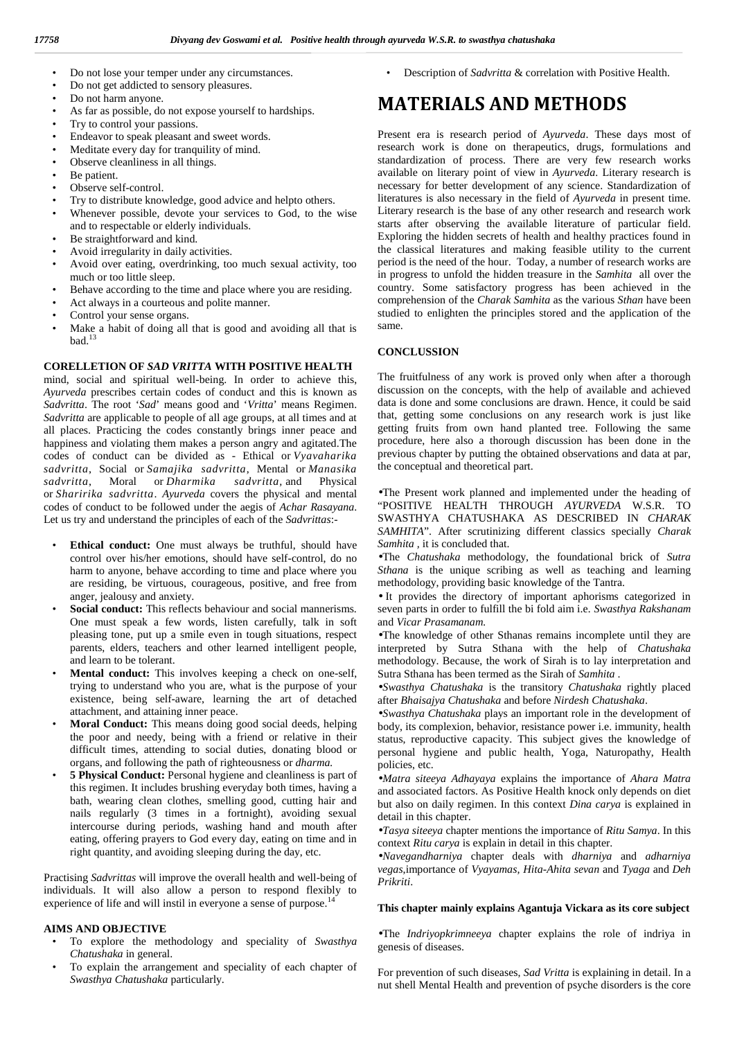- Do not lose your temper under any circumstances.
- Do not get addicted to sensory pleasures.
- Do not harm anyone.
- As far as possible, do not expose yourself to hardships.
- Try to control your passions.
- Endeavor to speak pleasant and sweet words.
- Meditate every day for tranquility of mind.
- Observe cleanliness in all things.
- Be patient.
- Observe self-control.
- Try to distribute knowledge, good advice and helpto others.
- Whenever possible, devote your services to God, to the wise and to respectable or elderly individuals.
- Be straightforward and kind.
- Avoid irregularity in daily activities.
- Avoid over eating, overdrinking, too much sexual activity, too much or too little sleep.
- Behave according to the time and place where you are residing.
- Act always in a courteous and polite manner.
- Control your sense organs.
- Make a habit of doing all that is good and avoiding all that is bad. $13$

#### **CORELLETION OF** *SAD VRITTA* **WITH POSITIVE HEALTH**

mind, social and spiritual well-being. In order to achieve this, *Ayurveda* prescribes certain codes of conduct and this is known as *Sadvritta*. The root '*Sad*' means good and '*Vritta*' means Regimen. *Sadvritta* are applicable to people of all age groups, at all times and at all places. Practicing the codes constantly brings inner peace and happiness and violating them makes a person angry and agitated.The codes of conduct can be divided as - Ethical or *Vyavaharika sadvritta*, Social or *Samajika sadvritta*, Mental or *Manasika sadvritta*, Moral or *Dharmika sadvritta,* and Physical or *Sharirika sadvritta*. *Ayurveda* covers the physical and mental codes of conduct to be followed under the aegis of *Achar Rasayana*. Let us try and understand the principles of each of the *Sadvrittas*:-

- Ethical conduct: One must always be truthful, should have control over his/her emotions, should have self-control, do no harm to anyone, behave according to time and place where you are residing, be virtuous, courageous, positive, and free from anger, jealousy and anxiety.
- Social conduct: This reflects behaviour and social mannerisms. One must speak a few words, listen carefully, talk in soft pleasing tone, put up a smile even in tough situations, respect parents, elders, teachers and other learned intelligent people, and learn to be tolerant.
- **Mental conduct:** This involves keeping a check on one-self, trying to understand who you are, what is the purpose of your existence, being self-aware, learning the art of detached attachment, and attaining inner peace.
- **Moral Conduct:** This means doing good social deeds, helping the poor and needy, being with a friend or relative in their difficult times, attending to social duties, donating blood or organs, and following the path of righteousness or *dharma.*
- **5 Physical Conduct:** Personal hygiene and cleanliness is part of this regimen. It includes brushing everyday both times, having a bath, wearing clean clothes, smelling good, cutting hair and nails regularly (3 times in a fortnight), avoiding sexual intercourse during periods, washing hand and mouth after eating, offering prayers to God every day, eating on time and in right quantity, and avoiding sleeping during the day, etc.

Practising *Sadvrittas* will improve the overall health and well-being of individuals. It will also allow a person to respond flexibly to experience of life and will instil in everyone a sense of purpose.<sup>14</sup>

#### **AIMS AND OBJECTIVE**

- To explore the methodology and speciality of *Swasthya Chatushaka* in general.
- To explain the arrangement and speciality of each chapter of *Swasthya Chatushaka* particularly.

• Description of *Sadvritta* & correlation with Positive Health.

### **MATERIALS AND METHODS**

Present era is research period of *Ayurveda*. These days most of research work is done on therapeutics, drugs, formulations and standardization of process. There are very few research works available on literary point of view in *Ayurveda*. Literary research is necessary for better development of any science. Standardization of literatures is also necessary in the field of *Ayurveda* in present time. Literary research is the base of any other research and research work starts after observing the available literature of particular field. Exploring the hidden secrets of health and healthy practices found in the classical literatures and making feasible utility to the current period is the need of the hour. Today, a number of research works are in progress to unfold the hidden treasure in the *Samhita* all over the country. Some satisfactory progress has been achieved in the comprehension of the *Charak Samhita* as the various *Sthan* have been studied to enlighten the principles stored and the application of the same.

#### **CONCLUSSION**

The fruitfulness of any work is proved only when after a thorough discussion on the concepts, with the help of available and achieved data is done and some conclusions are drawn. Hence, it could be said that, getting some conclusions on any research work is just like getting fruits from own hand planted tree. Following the same procedure, here also a thorough discussion has been done in the previous chapter by putting the obtained observations and data at par, the conceptual and theoretical part.

The Present work planned and implemented under the heading of "POSITIVE HEALTH THROUGH *AYURVEDA* W.S.R. TO SWASTHYA CHATUSHAKA AS DESCRIBED IN *CHARAK SAMHITA*". After scrutinizing different classics specially *Charak Samhita ,* it is concluded that.

The *Chatushaka* methodology, the foundational brick of *Sutra Sthana* is the unique scribing as well as teaching and learning methodology, providing basic knowledge of the Tantra.

 It provides the directory of important aphorisms categorized in seven parts in order to fulfill the bi fold aim i.e*. Swasthya Rakshanam* and *Vicar Prasamanam.*

The knowledge of other Sthanas remains incomplete until they are interpreted by Sutra Sthana with the help of *Chatushaka* methodology. Because, the work of Sirah is to lay interpretation and Sutra Sthana has been termed as the Sirah of *Samhita* .

*Swasthya Chatushaka* is the transitory *Chatushaka* rightly placed after *Bhaisajya Chatushaka* and before *Nirdesh Chatushaka*.

*Swasthya Chatushaka* plays an important role in the development of body, its complexion, behavior, resistance power i.e. immunity, health status, reproductive capacity. This subject gives the knowledge of personal hygiene and public health, Yoga, Naturopathy, Health policies, etc.

*Matra siteeya Adhayaya* explains the importance of *Ahara Matra* and associated factors. As Positive Health knock only depends on diet but also on daily regimen. In this context *Dina carya* is explained in detail in this chapter.

*Tasya siteeya* chapter mentions the importance of *Ritu Samya*. In this context *Ritu carya* is explain in detail in this chapter.

*Navegandharniya* chapter deals with *dharniya* and *adharniya vegas*,importance of *Vyayamas, Hita-Ahita sevan* and *Tyaga* and *Deh Prikriti*.

#### **This chapter mainly explains Agantuja Vickara as its core subject**

The *Indriyopkrimneeya* chapter explains the role of indriya in genesis of diseases.

For prevention of such diseases, *Sad Vritta* is explaining in detail. In a nut shell Mental Health and prevention of psyche disorders is the core